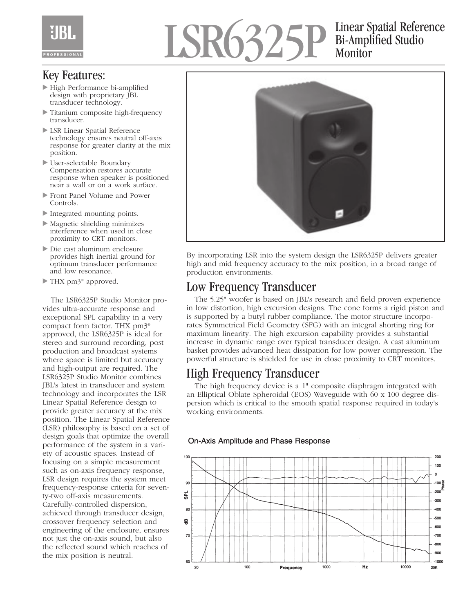# LSR6325P Bi-Amplified Studio Monitor

### Key Features:

- High Performance bi-amplified design with proprietary JBL transducer technology.
- Titanium composite high-frequency transducer.
- LSR Linear Spatial Reference technology ensures neutral off-axis response for greater clarity at the mix position.
- User-selectable Boundary Compensation restores accurate response when speaker is positioned near a wall or on a work surface.
- Front Panel Volume and Power Controls.
- Integrated mounting points.
- Magnetic shielding minimizes interference when used in close proximity to CRT monitors.
- Die cast aluminum enclosure provides high inertial ground for optimum transducer performance and low resonance.
- ▶ THX pm3<sup>®</sup> approved.

The LSR6325P Studio Monitor provides ultra-accurate response and exceptional SPL capability in a very compact form factor. THX pm3® approved, the LSR6325P is ideal for stereo and surround recording, post production and broadcast systems where space is limited but accuracy and high-output are required. The LSR6325P Studio Monitor combines JBL's latest in transducer and system technology and incorporates the LSR Linear Spatial Reference design to provide greater accuracy at the mix position. The Linear Spatial Reference (LSR) philosophy is based on a set of design goals that optimize the overall performance of the system in a variety of acoustic spaces. Instead of focusing on a simple measurement such as on-axis frequency response, LSR design requires the system meet frequency-response criteria for seventy-two off-axis measurements. Carefully-controlled dispersion, achieved through transducer design, crossover frequency selection and engineering of the enclosure, ensures not just the on-axis sound, but also the reflected sound which reaches of the mix position is neutral.



By incorporating LSR into the system design the LSR6325P delivers greater high and mid frequency accuracy to the mix position, in a broad range of production environments.

## Low Frequency Transducer

The 5.25" woofer is based on JBL's research and field proven experience in low distortion, high excursion designs. The cone forms a rigid piston and is supported by a butyl rubber compliance. The motor structure incorporates Symmetrical Field Geometry (SFG) with an integral shorting ring for maximum linearity. The high excursion capability provides a substantial increase in dynamic range over typical transducer design. A cast aluminum basket provides advanced heat dissipation for low power compression. The powerful structure is shielded for use in close proximity to CRT monitors.

## High Frequency Transducer

The high frequency device is a 1" composite diaphragm integrated with an Elliptical Oblate Spheroidal (EOS) Waveguide with 60 x 100 degree dispersion which is critical to the smooth spatial response required in today's working environments.

#### **On-Axis Amplitude and Phase Response**

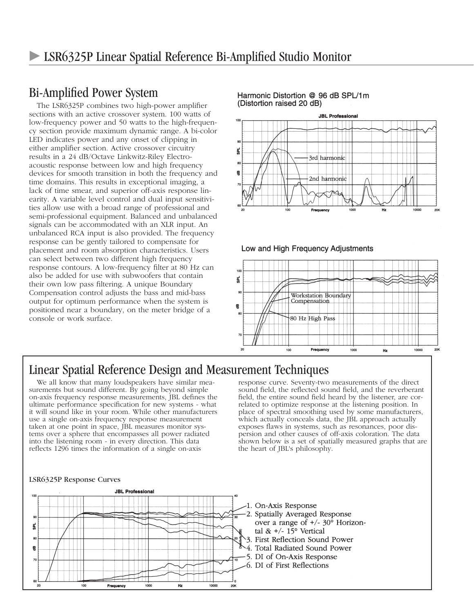## Bi-Amplified Power System

The LSR6325P combines two high-power amplifier sections with an active crossover system. 100 watts of low-frequency power and 50 watts to the high-frequency section provide maximum dynamic range. A bi-color LED indicates power and any onset of clipping in either amplifier section. Active crossover circuitry results in a 24 dB/Octave Linkwitz-Riley Electroacoustic response between low and high frequency devices for smooth transition in both the frequency and time domains. This results in exceptional imaging, a lack of time smear, and superior off-axis response linearity. A variable level control and dual input sensitivities allow use with a broad range of professional and semi-professional equipment. Balanced and unbalanced signals can be accommodated with an XLR input. An unbalanced RCA input is also provided. The frequency response can be gently tailored to compensate for placement and room absorption characteristics. Users can select between two different high frequency response contours. A low-frequency filter at 80 Hz can also be added for use with subwoofers that contain their own low pass filtering. A unique Boundary Compensation control adjusts the bass and mid-bass output for optimum performance when the system is positioned near a boundary, on the meter bridge of a console or work surface.

#### Harmonic Distortion @ 96 dB SPL/1m (Distortion raised 20 dB)



#### Low and High Frequency Adjustments



### Linear Spatial Reference Design and Measurement Techniques

We all know that many loudspeakers have similar measurements but sound different. By going beyond simple on-axis frequency response measurements, JBL defines the ultimate performance specification for new systems - what it will sound like in your room. While other manufacturers use a single on-axis frequency response measurement taken at one point in space, JBL measures monitor systems over a sphere that encompasses all power radiated into the listening room - in every direction. This data reflects 1296 times the information of a single on-axis

response curve. Seventy-two measurements of the direct sound field, the reflected sound field, and the reverberant field, the entire sound field heard by the listener, are correlated to optimize response at the listening position. In place of spectral smoothing used by some manufacturers, which actually conceals data, the JBL approach actually exposes flaws in systems, such as resonances, poor dispersion and other causes of off-axis coloration. The data shown below is a set of spatially measured graphs that are the heart of JBL's philosophy.

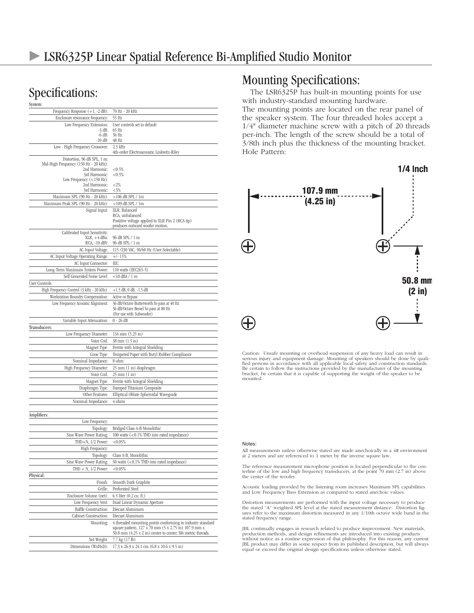# Specifications:

| System:                                                |                                                                                                                    |
|--------------------------------------------------------|--------------------------------------------------------------------------------------------------------------------|
| Frequency Response $(+1, -2 dB)$ :                     | 70 Hz - 20 kHz                                                                                                     |
| Enclosure resonance frequency:                         | 55 Hz                                                                                                              |
| Low Frequency Extension:                               | User controls set to default                                                                                       |
| $-3$ dB:<br>$-6$ dB:                                   | 65 Hz<br>56 Hz                                                                                                     |
| $-10$ dB:                                              | 48 Hz                                                                                                              |
| Low - High Frequency Crossover:                        | $2.3$ kHz                                                                                                          |
|                                                        | 4th-order Electroacoustic Linkwitz-Riley                                                                           |
| Distortion, 96 dB SPL, 1 m:                            |                                                                                                                    |
| Mid-High Frequency (150 Hz - 20 kHz):<br>2nd Harmonic: | < 0.5%                                                                                                             |
| 3rd Harmonic:                                          | ${<}0.5%$                                                                                                          |
| Low Frequency $(<150$ Hz):                             |                                                                                                                    |
| 2nd Harmonic:<br>3rd Harmonic:                         | ${<}2\%$<br>$<$ 3%                                                                                                 |
| Maximum SPL (90 Hz - 20 kHz):                          | >106 dB SPL / 1m                                                                                                   |
| Maximum Peak SPL (90 Hz - 20 kHz):                     | $>109$ dB SPL / 1m                                                                                                 |
| Signal Input:                                          | XLR, Balanced                                                                                                      |
|                                                        | RCA, unbalanced                                                                                                    |
|                                                        | Postitive voltage applied to XLR Pin 2 (RCA tip)                                                                   |
|                                                        | produces outward woofer motion.                                                                                    |
| Calibrated Input Sensitivity:<br>$XLR, +4 dBu$         | 96 dB SPL / 1 m                                                                                                    |
| RCA, -10 dBV:                                          | 96 dB SPL / 1 m                                                                                                    |
| AC Input Voltage:                                      | 115/230 VAC, 50/60 Hz (User Selectable)                                                                            |
| AC Input Voltage Operating Range:                      | $+/- 15%$                                                                                                          |
| AC Input Connector:                                    | IEC                                                                                                                |
| Long-Term Maximum System Power:                        | 110 watts (IEC265-5)                                                                                               |
| Self Generated Noise Level:                            | $<$ 10 dBA $/$ 1 m                                                                                                 |
| <b>User Controls:</b>                                  |                                                                                                                    |
| High Frequency Control (3 kHz - 20 kHz):               | $+1.5$ dB, 0 dB, $-1.5$ dB                                                                                         |
| Workstation Boundry Compensation:                      | Active or Bypass                                                                                                   |
| Low Frequency Acoustic Alignment:                      | 36 dB/Octave Butterworth bi-pass at 40 Hz                                                                          |
|                                                        | 36 dB/Octave Bessel hi-pass at 80 Hz                                                                               |
|                                                        | (For use with Subwoofer)                                                                                           |
| Variable Input Attenuation:                            | 0 - 26 dB                                                                                                          |
| Transducers:                                           |                                                                                                                    |
| Low Frequency Diameter:                                | 134 mm (5.25 in)                                                                                                   |
| Voice Coil:                                            | 38 mm (1.5 in)                                                                                                     |
| Magnet Type:                                           | Ferrite with Integral Shielding                                                                                    |
| Cone Type:                                             | Tempered Paper with Butyl Rubber Compliance                                                                        |
| Nominal Impedance:                                     | 8 ohm                                                                                                              |
| High Frequency Diameter:                               | 25 mm (1 in) diaphragm                                                                                             |
| Voice Coil:                                            | 25 mm (1 in)                                                                                                       |
| Magnet Type:                                           | Ferrite with Integral Shielding                                                                                    |
| Diaphragm Type:                                        | Damped Titanium Composite                                                                                          |
| Other Features:                                        | Elliptical Oblate Spheroidal Waveguide                                                                             |
| Nominal Impedance:                                     | 4 ohms                                                                                                             |
|                                                        |                                                                                                                    |
| Amplifiers:                                            |                                                                                                                    |
| Low Frequency:                                         |                                                                                                                    |
| Topology:                                              | Bridged Class A-B Monolithic                                                                                       |
| Sine Wave Power Rating:                                | 100 watts (<0.1% THD into rated impedance)                                                                         |
| THD+N, 1/2 Power:                                      | < 0.05%                                                                                                            |
| High Frequency:                                        |                                                                                                                    |
| Topology:                                              | Class A-B, Monolithic                                                                                              |
| Sine Wave Power Rating:                                | 50 watts (<0.1% THD into rated impedance)                                                                          |
| THD $+$ N, 1/2 Power:                                  | < 0.05%                                                                                                            |
| Physical:                                              |                                                                                                                    |
| Finish:                                                | Smooth Dark Graphite                                                                                               |
| Grille:                                                | Perforated Steel                                                                                                   |
| Enclosure Volume (net):                                | $6.5$ liter $(0.2 \text{ cu. ft.})$                                                                                |
| Low Frequency Vent:                                    | Dual Linear Dynamic Aperture                                                                                       |
| <b>Baffle Construction:</b>                            | Diecast Aluminum                                                                                                   |
| Cabinet Construction:                                  | Diecast Aluminum                                                                                                   |
| Mounting:                                              | 4 threaded mounting points conforming to industry standard<br>square pattern, 127 x 70 mm (5 x 2.75 in) 107.9 mm x |
|                                                        | 50.8 mm (4.25 x 2 in) center to center. M6 metric threads.                                                         |
| Net Weight:                                            | 7.7 kg (17 lb)                                                                                                     |
| Dimensions (WxHxD):                                    | 17.3 x 26.9 x 24.1 cm (6.8 x 10.6 x 9.5 in)                                                                        |
|                                                        |                                                                                                                    |

### Mounting Specifications:

The LSR6325P has built-in mounting points for use with industry-standard mounting hardware. The mounting points are located on the rear panel of the speaker system. The four threaded holes accept a 1/4" diameter machine screw with a pitch of 20 threads per-inch. The length of the screw should be a total of 3/8th inch plus the thickness of the mounting bracket. Hole Pattern:



Caution: Unsafe mounting or overhead suspension of any heavy load can result in<br>serious injury and equipment damage. Mounting of speakers should be done by quali-<br>fied persons in accordance with all applicable local safety Be certain to follow the instructions provided by the manufacturer of the mounting bracket, be certain that it is capable of supporting the weight of the speaker to be mounted.

#### Notes:

All measurements unless otherwise stated are made anechoically in a 4π environment at 2 meters and are referenced to 1 meter by the inverse square law.

The reference measurement microphone position is located perpendicular to the centerline of the low and high frequency transducers, at the point 70 mm (2.7 in) above the center of the woofer.

Acoustic loading provided by the listening room increases Maximum SPL capabilities and Low Frequency Bass Extension as compared to stated anechoic values.

Distortion measurements are performed with the input voltage necessary to produce<br>the stated "A" weighted SPL level at the stated measurement distance. Distortion fig-<br>ures refer to the maximum distortion measured in any 1 stated frequency range.

JBL continually engages in research related to produce improvement. New materials, production methods, and design refinements are introduced into existing products without notice as a routine expression of that philosophy. For this reason, any current JBL product may differ in some respect from its published description, but will always equal or exceed the original design specifications unless otherwise stated.